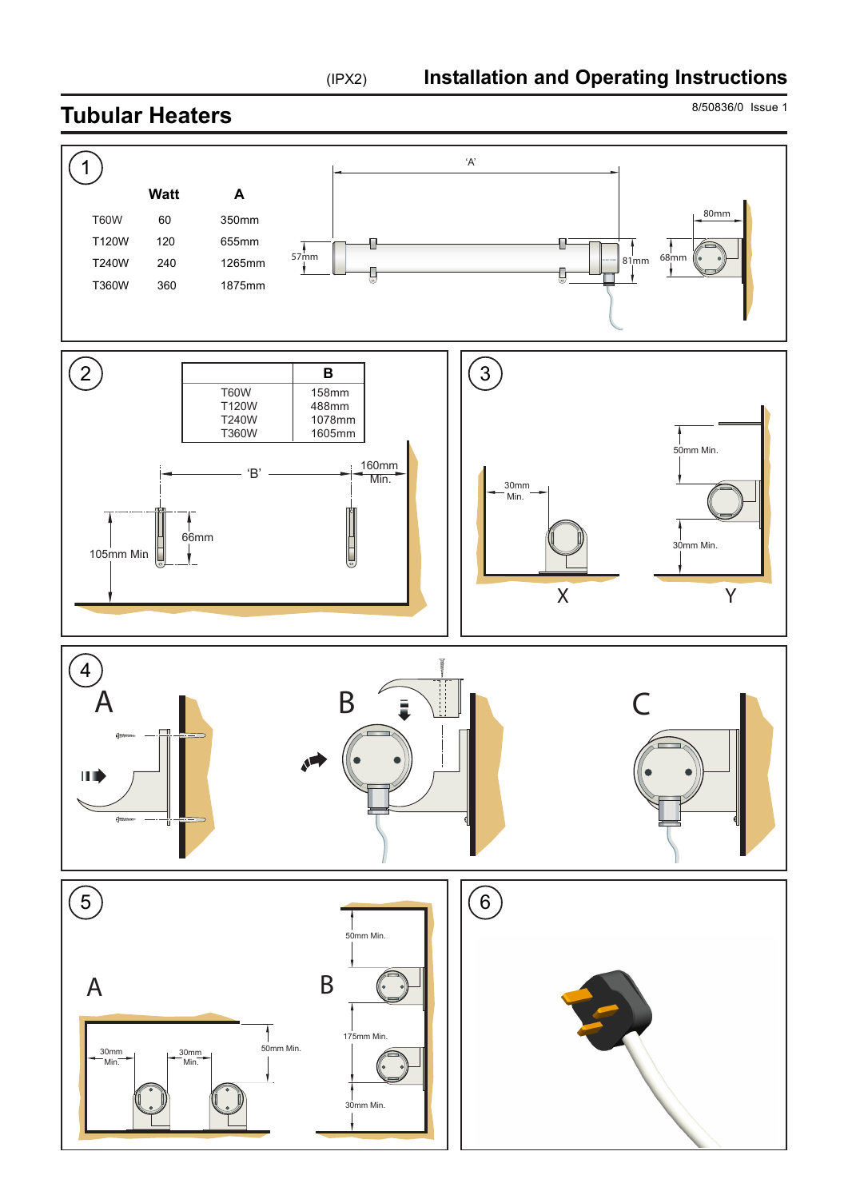8/50836/0 Issue 1 **Tubular Heaters**  1 'A' **Watt A**  80mm T60W 60 350mm T120W 120 655mm Π  $57\text{mm}$   $\uparrow$   $81\text{mm}$   $\uparrow$   $81\text{mm}$   $\uparrow$   $81\text{mm}$   $\uparrow$   $81\text{mm}$   $\uparrow$   $81\text{mm}$   $\uparrow$   $\uparrow$ T240W 240 1265mm Ū Ū T360W 360 1875mm 2 )  $\qquad \qquad \qquad$   $\qquad \qquad$   $\qquad$   $\qquad$   $\qquad$   $\qquad$   $\qquad$   $\qquad$   $\qquad$   $\qquad$   $\qquad$   $\qquad$   $\qquad$   $\qquad$   $\qquad$   $\qquad$   $\qquad$   $\qquad$   $\qquad$   $\qquad$   $\qquad$   $\qquad$   $\qquad$   $\qquad$   $\qquad$   $\qquad$   $\qquad$   $\qquad$   $\qquad$   $\qquad$   $\qquad$   $\qquad$   $\qquad$   $\qquad$   $\qquad$  **B**  T60W 158mm T120W 488mm T240W 1078mm<br>T360W 1605mm T360W 1605mm 50mm Min.  $-$  'B'  $\longrightarrow$   $\frac{160 \text{mm}}{\text{Min}}$  Min. 30mm Min. 66mm 30mm Min. 105mm Min. Ī  $\mathbf{r}$ X Y  $\widehat{4}$ uml<sub>1</sub>  $\begin{array}{ccc} A & & B & \end{array}$   $\begin{array}{ccc} B & & \end{array}$   $\begin{array}{ccc} \end{array}$ Ш  $\binom{5}{ }$  $\binom{6}{ }$  50mm Min. A B  $\overline{6}$ <br>50mm Min. 175mm Min. 30mm 30mm Min. Min. 30mm Min.